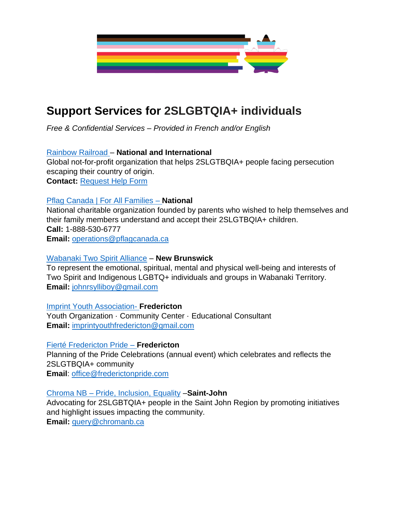

## **Support Services for 2SLGBTQIA+ individuals**

*Free & Confidential Services – Provided in French and/or English* 

## [Rainbow Railroad](https://www.rainbowrailroad.org/) – **National and International**

Global not-for-profit organization that helps 2SLGTBQIA+ people facing persecution escaping their country of origin.

**Contact:** [Request Help Form](https://www.rainbowrailroad.org/request-help)

## [Pflag Canada | For All Families](https://pflagcanada.ca/new-brunswick/) – **National**

National charitable organization founded by parents who wished to help themselves and their family members understand and accept their 2SLGTBQIA+ children. **Call:** 1-888-530-6777 **Email:** [operations@pflagcanada.ca](mailto:operations@pflagcanada.ca)

## [Wabanaki Two Spirit Alliance](http://w2sa.ca/) – **New Brunswick**

To represent the emotional, spiritual, mental and physical well-being and interests of Two Spirit and Indigenous LGBTQ+ individuals and groups in Wabanaki Territory. **Email:** [johnrsylliboy@gmail.com](mailto:johnrsylliboy@gmail.com)

[Imprint Youth Association-](https://www.facebook.com/imprintyya) **Fredericton** Youth [Organization](https://www.facebook.com/search/?bqf=str%2FYouth%2BOrganization%2Fkeywords_pages&ref=page_about_category&f=Abr5VmZh14N1Gj7MrojJ1s1F2E63IZ6gunRiBjlEIfbFweJKf1rPCyB5lVUTRDtbSNS8HPkRUUgyWSJvtgTwVXOAkIQAjrXN6RuHCmu4IJ_gNMn9J-i6zFm_36uewR2nvnY) · [Community](https://www.facebook.com/search/?bqf=str%2FCommunity%2BCenter%2Fkeywords_pages&ref=page_about_category&f=AboMtGJ1rALaE452IC4ax4SuZHNfO-HXWiw-n4t4mJ0NJ6N0Yc5tUhIMVTNrzLKP7s1B1cN-oUaXjzp7o2oCX-qQ6UeV3VAuggPCzmZBKX5NlY1GlQOiCpr-XJqwEGWOtuc) Center · Educational Consultant

**Email:** [imprintyouthfredericton@gmail.com](mailto:imprintyouthfredericton@gmail.com)

## [Fierté Fredericton Pride](https://www.facebook.com/frederictonpride) – **Fredericton**

Planning of the Pride Celebrations (annual event) which celebrates and reflects the 2SLGTBQIA+ community **Email**: [office@frederictonpride.com](mailto:office@frederictonpride.com)

## Chroma NB – [Pride, Inclusion, Equality](https://chromanb.ca/) –**Saint-John**

Advocating for 2SLGBTQIA+ people in the Saint John Region by promoting initiatives and highlight issues impacting the community. **Email:** [query@chromanb.ca](mailto:query@chromanb.ca)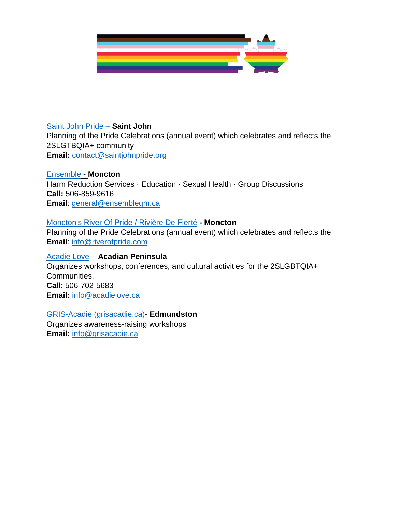

#### [Saint John Pride](https://www.facebook.com/saintjohnpride) – **Saint John**

Planning of the Pride Celebrations (annual event) which celebrates and reflects the 2SLGTBQIA+ community **Email:** [contact@saintjohnpride.org](mailto:contact@saintjohnpride.org)

[Ensemble](https://ensemblegm.ca/?msclkid=820e8309c58711ec90bd47976a51afd8) - **Moncton** Harm Reduction Services · Education · Sexual Health · Group Discussions **Call:** 506-859-9616 **Email**: [general@ensemblegm.ca](mailto:general@ensemblegm.ca)

#### [Moncton's River Of Pride / Rivière De Fierté](https://www.facebook.com/RiverOfPride) **- Moncton**

Planning of the Pride Celebrations (annual event) which celebrates and reflects the **Email**: [info@riverofpride.com](mailto:info@riverofpride.com)

#### [Acadie](https://acadielove.ca/?msclkid=b0d0cd75c58711ecbce34a41ad6e16ab) [Love](https://acadielove.ca/?msclkid=b0d0cd75c58711ecbce34a41ad6e16ab) – **Acadian Peninsula**

Organizes workshops, conferences, and cultural activities for the 2SLGBTQIA+ Communities. **Call**: 506-702-5683 **Email:** [info@acadielove.ca](mailto:info@acadielove.ca)

#### [GRIS-Acadie](https://www.grisacadie.ca/) [\(grisacadie.ca\)-](https://www.grisacadie.ca/) **Edmundston**  Organizes awareness-raising workshops

**Email:** [info@grisacadie.ca](mailto:info@grisacadie.ca)